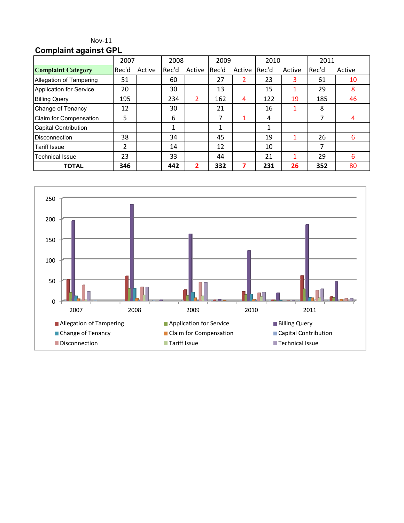### Nov-11 **Complaint against GPL**

|                                | 2007  |        | 2008  |                | 2009  |        | 2010  |        | 2011  |        |
|--------------------------------|-------|--------|-------|----------------|-------|--------|-------|--------|-------|--------|
| <b>Complaint Category</b>      | Rec'd | Active | Rec'd | Active         | Rec'd | Active | Rec'd | Active | Rec'd | Active |
| Allegation of Tampering        | 51    |        | 60    |                | 27    | 2      | 23    | 3      | 61    | 10     |
| <b>Application for Service</b> | 20    |        | 30    |                | 13    |        | 15    |        | 29    | 8      |
| <b>Billing Query</b>           | 195   |        | 234   | $\overline{2}$ | 162   | 4      | 122   | 19     | 185   | 46     |
| Change of Tenancy              | 12    |        | 30    |                | 21    |        | 16    |        | 8     |        |
| Claim for Compensation         | 5     |        | 6     |                | 7     |        | 4     |        | 7     | 4      |
| <b>Capital Contribution</b>    |       |        | 1     |                |       |        | 1     |        |       |        |
| <b>Disconnection</b>           | 38    |        | 34    |                | 45    |        | 19    |        | 26    | 6      |
| <b>Tariff Issue</b>            | 2     |        | 14    |                | 12    |        | 10    |        | 7     |        |
| <b>Technical Issue</b>         | 23    |        | 33    |                | 44    |        | 21    |        | 29    | 6      |
| <b>TOTAL</b>                   | 346   |        | 442   | 2              | 332   | 7      | 231   | 26     | 352   | 80     |

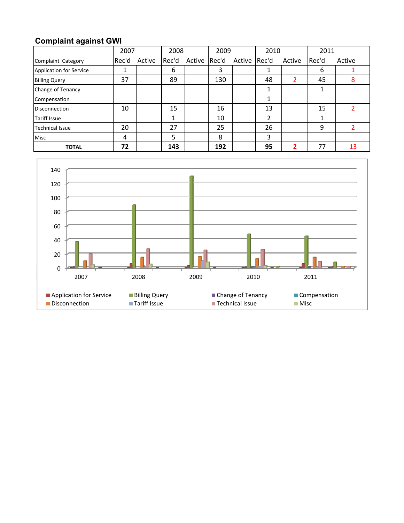# **Complaint against GWI**

|                                | 2007  |        | 2008  |        |       | 2009         |    | 2010           |       | 2011   |
|--------------------------------|-------|--------|-------|--------|-------|--------------|----|----------------|-------|--------|
| Complaint Category             | Rec'd | Active | Rec'd | Active | Rec'd | Active Rec'd |    | Active         | Rec'd | Active |
| <b>Application for Service</b> | ┻     |        | 6     |        | 3     |              |    |                | 6     |        |
| <b>Billing Query</b>           | 37    |        | 89    |        | 130   |              | 48 | $\overline{2}$ | 45    | 8      |
| Change of Tenancy              |       |        |       |        |       |              |    |                |       |        |
| Compensation                   |       |        |       |        |       |              | 1  |                |       |        |
| <b>Disconnection</b>           | 10    |        | 15    |        | 16    |              | 13 |                | 15    |        |
| <b>Tariff Issue</b>            |       |        |       |        | 10    |              | 2  |                |       |        |
| <b>Technical Issue</b>         | 20    |        | 27    |        | 25    |              | 26 |                | 9     |        |
| <b>Misc</b>                    | 4     |        | 5     |        | 8     |              | 3  |                |       |        |
| <b>TOTAL</b>                   | 72    |        | 143   |        | 192   |              | 95 | 2              | 77    | 13     |

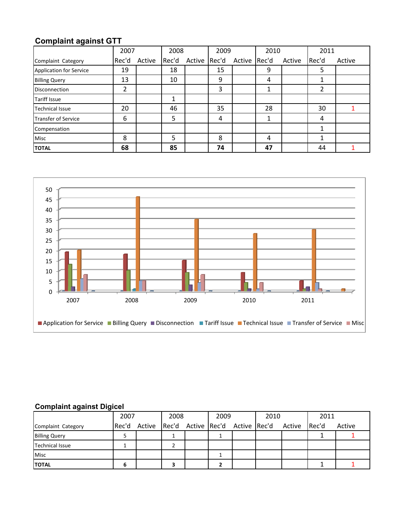# **Complaint against GTT**

|                                | 2007  |        | 2008  |        | 2009  |              | 2010 |        | 2011  |        |
|--------------------------------|-------|--------|-------|--------|-------|--------------|------|--------|-------|--------|
| Complaint Category             | Rec'd | Active | Rec'd | Active | Rec'd | Active Rec'd |      | Active | Rec'd | Active |
| <b>Application for Service</b> | 19    |        | 18    |        | 15    |              | 9    |        | 5     |        |
| <b>Billing Query</b>           | 13    |        | 10    |        | 9     |              | 4    |        | 1     |        |
| <b>Disconnection</b>           | 2     |        |       |        | 3     |              |      |        | 2     |        |
| <b>Tariff Issue</b>            |       |        |       |        |       |              |      |        |       |        |
| <b>Technical Issue</b>         | 20    |        | 46    |        | 35    |              | 28   |        | 30    |        |
| Transfer of Service            | 6     |        | 5     |        | 4     |              | 1    |        | 4     |        |
| Compensation                   |       |        |       |        |       |              |      |        | 1     |        |
| Misc                           | 8     |        | 5     |        | 8     |              | 4    |        | 1     |        |
| <b>TOTAL</b>                   | 68    |        | 85    |        | 74    |              | 47   |        | 44    |        |



### **Complaint against Digicel**

|                        | 2007 | 2008 |  | 2009 |  | 2010                                                |  | 2011  |        |
|------------------------|------|------|--|------|--|-----------------------------------------------------|--|-------|--------|
| Complaint Category     |      |      |  |      |  | Rec'd Active Rec'd Active Rec'd Active Rec'd Active |  | Rec'd | Active |
| <b>Billing Query</b>   |      |      |  |      |  |                                                     |  |       |        |
| <b>Technical Issue</b> |      |      |  |      |  |                                                     |  |       |        |
| <b>Misc</b>            |      |      |  |      |  |                                                     |  |       |        |
| <b>TOTAL</b>           |      |      |  |      |  |                                                     |  |       |        |